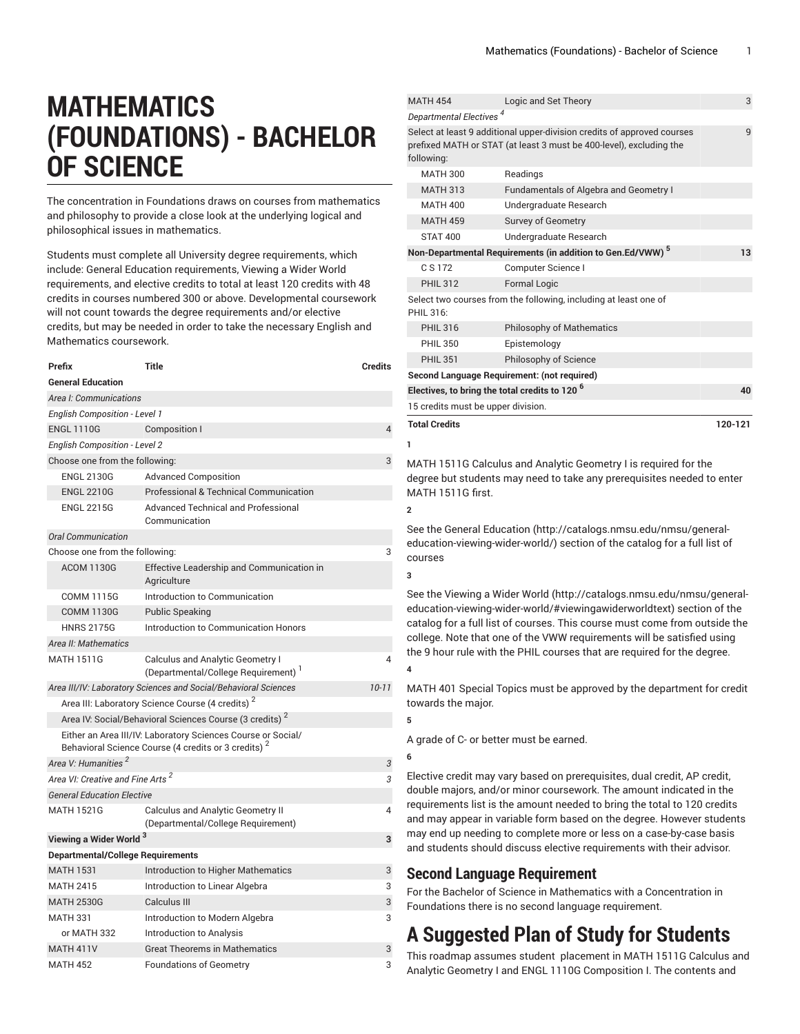# **MATHEMATICS (FOUNDATIONS) - BACHELOR OF SCIENCE**

The concentration in Foundations draws on courses from mathematics and philosophy to provide a close look at the underlying logical and philosophical issues in mathematics.

Students must complete all University degree requirements, which include: General Education requirements, Viewing a Wider World requirements, and elective credits to total at least 120 credits with 48 credits in courses numbered 300 or above. Developmental coursework will not count towards the degree requirements and/or elective credits, but may be needed in order to take the necessary English and Mathematics coursework.

| Prefix                                       | <b>Title</b>                                                                                                                    | <b>Credits</b> |
|----------------------------------------------|---------------------------------------------------------------------------------------------------------------------------------|----------------|
| <b>General Education</b>                     |                                                                                                                                 |                |
| Area I: Communications                       |                                                                                                                                 |                |
| <b>English Composition - Level 1</b>         |                                                                                                                                 |                |
| <b>ENGL 1110G</b>                            | Composition I                                                                                                                   | 4              |
| <b>English Composition - Level 2</b>         |                                                                                                                                 |                |
| Choose one from the following:               | 3                                                                                                                               |                |
| <b>ENGL 2130G</b>                            | <b>Advanced Composition</b>                                                                                                     |                |
| <b>ENGL 2210G</b>                            | <b>Professional &amp; Technical Communication</b>                                                                               |                |
| <b>ENGL 2215G</b>                            | <b>Advanced Technical and Professional</b><br>Communication                                                                     |                |
| <b>Oral Communication</b>                    |                                                                                                                                 |                |
| Choose one from the following:               |                                                                                                                                 | 3              |
| <b>ACOM 1130G</b>                            | Effective Leadership and Communication in<br>Agriculture                                                                        |                |
| <b>COMM 1115G</b>                            | Introduction to Communication                                                                                                   |                |
| <b>COMM 1130G</b>                            | <b>Public Speaking</b>                                                                                                          |                |
| <b>HNRS 2175G</b>                            | Introduction to Communication Honors                                                                                            |                |
| Area II: Mathematics                         |                                                                                                                                 |                |
| <b>MATH 1511G</b>                            | <b>Calculus and Analytic Geometry I</b><br>(Departmental/College Requirement) <sup>1</sup>                                      | 4              |
|                                              | Area III/IV: Laboratory Sciences and Social/Behavioral Sciences                                                                 | $10 - 11$      |
|                                              | Area III: Laboratory Science Course (4 credits) <sup>2</sup>                                                                    |                |
|                                              | Area IV: Social/Behavioral Sciences Course (3 credits) <sup>2</sup>                                                             |                |
|                                              | Either an Area III/IV: Laboratory Sciences Course or Social/<br>Behavioral Science Course (4 credits or 3 credits) <sup>2</sup> |                |
| Area V: Humanities <sup>2</sup>              |                                                                                                                                 | 3              |
| Area VI: Creative and Fine Arts <sup>2</sup> |                                                                                                                                 | 3              |
| <b>General Education Elective</b>            |                                                                                                                                 |                |
| <b>MATH 1521G</b>                            | Calculus and Analytic Geometry II<br>(Departmental/College Requirement)                                                         | 4              |
| Viewing a Wider World <sup>3</sup>           |                                                                                                                                 | 3              |
| <b>Departmental/College Requirements</b>     |                                                                                                                                 |                |
| <b>MATH 1531</b>                             | Introduction to Higher Mathematics                                                                                              | 3              |
| <b>MATH 2415</b>                             | Introduction to Linear Algebra                                                                                                  | 3              |
| <b>MATH 2530G</b>                            | Calculus III                                                                                                                    | 3              |
| <b>MATH 331</b>                              | Introduction to Modern Algebra                                                                                                  | 3              |
| or MATH 332                                  | Introduction to Analysis                                                                                                        |                |
| <b>MATH 411V</b>                             | <b>Great Theorems in Mathematics</b>                                                                                            | 3              |
| <b>MATH 452</b>                              | Foundations of Geometry                                                                                                         | 3              |

| <b>MATH 454</b>                                           | Logic and Set Theory                                                                                                                           | 3       |  |
|-----------------------------------------------------------|------------------------------------------------------------------------------------------------------------------------------------------------|---------|--|
| Departmental Electives <sup>4</sup>                       |                                                                                                                                                |         |  |
| following:                                                | Select at least 9 additional upper-division credits of approved courses<br>prefixed MATH or STAT (at least 3 must be 400-level), excluding the | 9       |  |
| <b>MATH 300</b>                                           | Readings                                                                                                                                       |         |  |
| <b>MATH 313</b>                                           | <b>Fundamentals of Algebra and Geometry I</b>                                                                                                  |         |  |
| <b>MATH 400</b>                                           | Undergraduate Research                                                                                                                         |         |  |
| <b>MATH 459</b>                                           | Survey of Geometry                                                                                                                             |         |  |
| <b>STAT 400</b>                                           | Undergraduate Research                                                                                                                         |         |  |
|                                                           | Non-Departmental Requirements (in addition to Gen.Ed/VWW) <sup>5</sup>                                                                         | 13      |  |
| C S 172                                                   | Computer Science I                                                                                                                             |         |  |
| <b>PHIL 312</b>                                           | <b>Formal Logic</b>                                                                                                                            |         |  |
| PHIL 316:                                                 | Select two courses from the following, including at least one of                                                                               |         |  |
| <b>PHIL 316</b>                                           | <b>Philosophy of Mathematics</b>                                                                                                               |         |  |
| <b>PHIL 350</b>                                           | Epistemology                                                                                                                                   |         |  |
| <b>PHIL 351</b>                                           | Philosophy of Science                                                                                                                          |         |  |
|                                                           | Second Language Requirement: (not required)                                                                                                    |         |  |
| Electives, to bring the total credits to 120 <sup>6</sup> |                                                                                                                                                | 40      |  |
| 15 credits must be upper division.                        |                                                                                                                                                |         |  |
| <b>Total Credits</b>                                      |                                                                                                                                                | 120-121 |  |
| 1                                                         |                                                                                                                                                |         |  |

MATH 1511G Calculus and Analytic Geometry I is required for the degree but students may need to take any prerequisites needed to enter MATH 1511G first.

See the General [Education](http://catalogs.nmsu.edu/nmsu/general-education-viewing-wider-world/) ([http://catalogs.nmsu.edu/nmsu/general](http://catalogs.nmsu.edu/nmsu/general-education-viewing-wider-world/)[education-viewing-wider-world/\)](http://catalogs.nmsu.edu/nmsu/general-education-viewing-wider-world/) section of the catalog for a full list of courses

See the [Viewing](http://catalogs.nmsu.edu/nmsu/general-education-viewing-wider-world/#viewingawiderworldtext) a Wider World [\(http://catalogs.nmsu.edu/nmsu/general](http://catalogs.nmsu.edu/nmsu/general-education-viewing-wider-world/#viewingawiderworldtext)[education-viewing-wider-world/#viewingawiderworldtext\)](http://catalogs.nmsu.edu/nmsu/general-education-viewing-wider-world/#viewingawiderworldtext) section of the catalog for a full list of courses. This course must come from outside the college. Note that one of the VWW requirements will be satisfied using the 9 hour rule with the PHIL courses that are required for the degree. **4**

MATH 401 Special Topics must be approved by the department for credit towards the major.

A grade of C- or better must be earned.

#### **6**

**5**

**2**

**3**

Elective credit may vary based on prerequisites, dual credit, AP credit, double majors, and/or minor coursework. The amount indicated in the requirements list is the amount needed to bring the total to 120 credits and may appear in variable form based on the degree. However students may end up needing to complete more or less on a case-by-case basis and students should discuss elective requirements with their advisor.

### **Second Language Requirement**

For the Bachelor of Science in Mathematics with a Concentration in Foundations there is no second language requirement.

## **A Suggested Plan of Study for Students**

This roadmap assumes student placement in MATH 1511G Calculus and Analytic Geometry I and ENGL 1110G Composition I. The contents and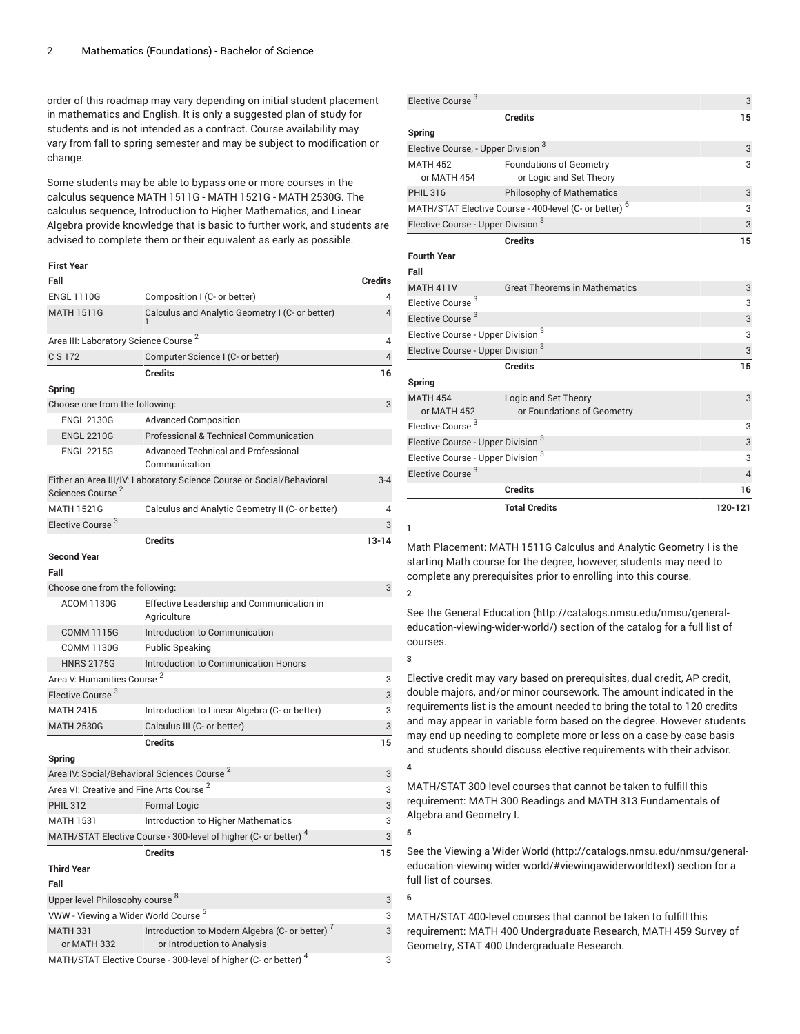order of this roadmap may vary depending on initial student placement in mathematics and English. It is only a suggested plan of study for students and is not intended as a contract. Course availability may vary from fall to spring semester and may be subject to modification or change.

Some students may be able to bypass one or more courses in the calculus sequence MATH 1511G - MATH 1521G - MATH 2530G. The calculus sequence, Introduction to Higher Mathematics, and Linear Algebra provide knowledge that is basic to further work, and students are advised to complete them or their equivalent as early as possible.

### **First Year Fall Credits** ENGL 1110G Composition I (C- or better) 4 MATH 1511G Calculus and Analytic Geometry I (C- or better)

or MATH 332

1

| Area III: Laboratory Science Course <sup>2</sup>    |                                                                             | $\overline{4}$ |
|-----------------------------------------------------|-----------------------------------------------------------------------------|----------------|
| C S 172                                             | Computer Science I (C- or better)                                           | $\overline{4}$ |
|                                                     | <b>Credits</b>                                                              | 16             |
| Spring                                              |                                                                             |                |
| Choose one from the following:                      |                                                                             | 3              |
| <b>ENGL 2130G</b>                                   | <b>Advanced Composition</b>                                                 |                |
| <b>ENGL 2210G</b>                                   | Professional & Technical Communication                                      |                |
| <b>ENGL 2215G</b>                                   | <b>Advanced Technical and Professional</b><br>Communication                 |                |
| Sciences Course <sup>2</sup>                        | Either an Area III/IV: Laboratory Science Course or Social/Behavioral       | $3 - 4$        |
| <b>MATH 1521G</b>                                   | Calculus and Analytic Geometry II (C- or better)                            | 4              |
| Elective Course <sup>3</sup>                        |                                                                             | 3              |
|                                                     | <b>Credits</b>                                                              | $13 - 14$      |
| <b>Second Year</b>                                  |                                                                             |                |
| Fall                                                |                                                                             |                |
| Choose one from the following:                      |                                                                             | 3              |
| <b>ACOM 1130G</b>                                   | Effective Leadership and Communication in<br>Agriculture                    |                |
| <b>COMM 1115G</b>                                   | Introduction to Communication                                               |                |
| <b>COMM 1130G</b>                                   | <b>Public Speaking</b>                                                      |                |
| <b>HNRS 2175G</b>                                   | Introduction to Communication Honors                                        |                |
| Area V: Humanities Course <sup>2</sup>              |                                                                             | 3              |
| Elective Course <sup>3</sup>                        |                                                                             | 3              |
| <b>MATH 2415</b>                                    | Introduction to Linear Algebra (C- or better)                               | 3              |
| <b>MATH 2530G</b>                                   | Calculus III (C- or better)                                                 | 3              |
|                                                     | <b>Credits</b>                                                              | 15             |
| Spring                                              |                                                                             |                |
|                                                     | Area IV: Social/Behavioral Sciences Course <sup>2</sup>                     | 3              |
| Area VI: Creative and Fine Arts Course <sup>2</sup> |                                                                             | 3              |
| <b>PHIL 312</b>                                     | <b>Formal Logic</b>                                                         | 3              |
| <b>MATH 1531</b>                                    | <b>Introduction to Higher Mathematics</b>                                   | 3              |
|                                                     | MATH/STAT Elective Course - 300-level of higher (C- or better) <sup>4</sup> | 3              |
|                                                     | <b>Credits</b>                                                              | 15             |
| <b>Third Year</b>                                   |                                                                             |                |
| Fall                                                |                                                                             |                |
| Upper level Philosophy course <sup>8</sup>          |                                                                             | 3              |
| VWW - Viewing a Wider World Course <sup>5</sup>     |                                                                             | 3              |
| <b>MATH 331</b>                                     | Introduction to Modern Algebra (C- or better) <sup>7</sup>                  | 3              |

or Introduction to Analysis

MATH/STAT Elective Course - 300-level of higher (C- or better)<sup>4</sup>

| Elective Course <sup>3</sup>                   |                                                                   | 3              |
|------------------------------------------------|-------------------------------------------------------------------|----------------|
|                                                | <b>Credits</b>                                                    | 15             |
| Spring                                         |                                                                   |                |
| Elective Course, - Upper Division <sup>3</sup> | 3                                                                 |                |
| <b>MATH 452</b>                                | <b>Foundations of Geometry</b>                                    | 3              |
| or MATH 454                                    | or Logic and Set Theory                                           |                |
| <b>PHIL 316</b>                                | <b>Philosophy of Mathematics</b>                                  | 3              |
|                                                | MATH/STAT Elective Course - 400-level (C- or better) <sup>6</sup> | 3              |
| Elective Course - Upper Division <sup>3</sup>  |                                                                   | 3              |
|                                                | <b>Credits</b>                                                    | 15             |
| <b>Fourth Year</b>                             |                                                                   |                |
| Fall                                           |                                                                   |                |
| <b>MATH 411V</b>                               | <b>Great Theorems in Mathematics</b>                              | 3              |
| Elective Course <sup>3</sup>                   |                                                                   | 3              |
| Elective Course <sup>3</sup>                   |                                                                   | 3              |
| Elective Course - Upper Division <sup>3</sup>  |                                                                   | 3              |
| Elective Course - Upper Division <sup>3</sup>  |                                                                   | 3              |
|                                                | <b>Credits</b>                                                    | 15             |
| Spring                                         |                                                                   |                |
| <b>MATH 454</b>                                | Logic and Set Theory                                              | 3              |
| or MATH 452                                    | or Foundations of Geometry                                        |                |
| Elective Course <sup>3</sup>                   |                                                                   | 3              |
| Elective Course - Upper Division <sup>3</sup>  |                                                                   | 3              |
| Elective Course - Upper Division <sup>3</sup>  |                                                                   | 3              |
| Elective Course <sup>3</sup>                   |                                                                   | $\overline{4}$ |
|                                                | <b>Credits</b>                                                    | 16             |
|                                                | <b>Total Credits</b>                                              | 120-121        |
| 1                                              |                                                                   |                |

4

**2**

**3**

**4**

**5**

**6**

 $\overline{a}$ 

Math Placement: MATH 1511G Calculus and Analytic Geometry I is the starting Math course for the degree, however, students may need to complete any prerequisites prior to enrolling into this course.

See the General [Education](http://catalogs.nmsu.edu/nmsu/general-education-viewing-wider-world/) ([http://catalogs.nmsu.edu/nmsu/general](http://catalogs.nmsu.edu/nmsu/general-education-viewing-wider-world/)[education-viewing-wider-world/\)](http://catalogs.nmsu.edu/nmsu/general-education-viewing-wider-world/) section of the catalog for a full list of courses.

Elective credit may vary based on prerequisites, dual credit, AP credit, double majors, and/or minor coursework. The amount indicated in the requirements list is the amount needed to bring the total to 120 credits and may appear in variable form based on the degree. However students may end up needing to complete more or less on a case-by-case basis and students should discuss elective requirements with their advisor.

MATH/STAT 300-level courses that cannot be taken to fulfill this requirement: MATH 300 Readings and MATH 313 Fundamentals of Algebra and Geometry I.

See the [Viewing](http://catalogs.nmsu.edu/nmsu/general-education-viewing-wider-world/#viewingawiderworldtext) a Wider World [\(http://catalogs.nmsu.edu/nmsu/general](http://catalogs.nmsu.edu/nmsu/general-education-viewing-wider-world/#viewingawiderworldtext)[education-viewing-wider-world/#viewingawiderworldtext\)](http://catalogs.nmsu.edu/nmsu/general-education-viewing-wider-world/#viewingawiderworldtext) section for a full list of courses.

MATH/STAT 400-level courses that cannot be taken to fulfill this requirement: MATH 400 Undergraduate Research, MATH 459 Survey of Geometry, STAT 400 Undergraduate Research.